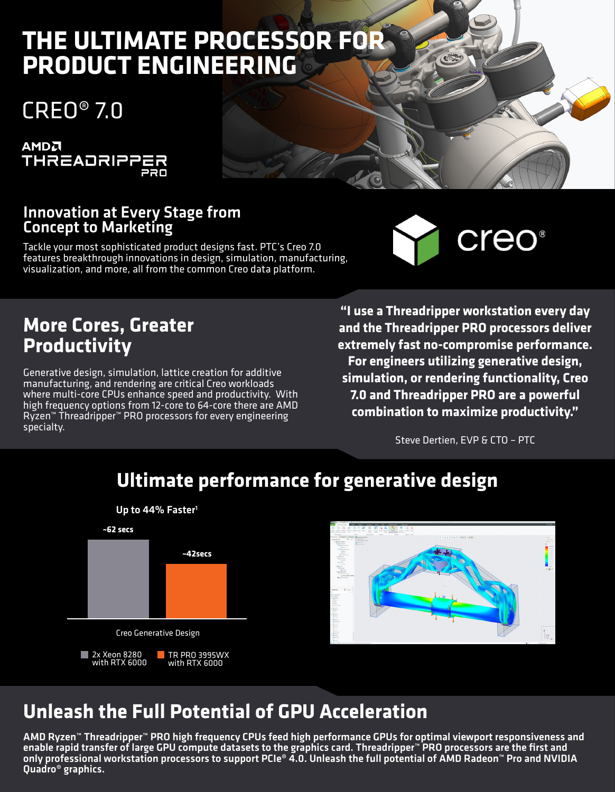# **THE ULTIMATE PROCESSOR FOR PRODUCT ENGINEERING**

# CREO® 7.0



#### Innovation at Every Stage from Concept to Marketing

Tackle your most sophisticated product designs fast. PTC's Creo 7.0 features breakthrough innovations in design, simulation, manufacturing, visualization, and more, all from the common Creo data platform.



#### **More Cores, Greater Productivity**

Generative design, simulation, lattice creation for additive manufacturing, and rendering are critical Creo workloads where multi-core CPUs enhance speed and productivity. With high frequency options from 12-core to 64-core there are AMD Ryzen™ Threadripper™ PRO processors for every engineering specialty.

**"I use a Threadripper workstation every day and the Threadripper PRO processors deliver extremely fast no-compromise performance. For engineers utilizing generative design, simulation, or rendering functionality, Creo 7.0 and Threadripper PRO are a powerful combination to maximize productivity."**

Steve Dertien, EVP & CTO – PTC



## **Ultimate performance for generative design**



## **Unleash the Full Potential of GPU Acceleration**

AMD Ryzen™ Threadripper™ PRO high frequency CPUs feed high performance GPUs for optimal viewport responsiveness and enable rapid transfer of large GPU compute datasets to the graphics card. Threadripper™ PRO processors are the first and only professional workstation processors to support PCIe® 4.0. Unleash the full potential of AMD Radeon™ Pro and NVIDIA Quadro® graphics.